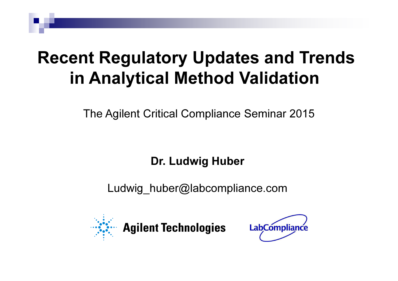# Recent Regulatory Updates and Trends in Analytical Method Validation

The Agilent Critical Compliance Seminar 2015

Dr. Ludwig Huber

Ludwig huber@labcompliance.com



**Agilent Technologies** 

**LabCompliance**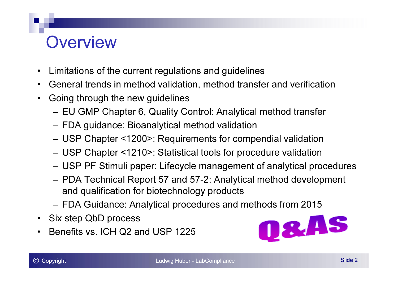### **Overview**

- Limitations of the current regulations and guidelines
- General trends in method validation, method transfer and verification
- • Going through the new guidelines
	- –EU GMP Chapter 6, Quality Control: Analytical method transfer
	- –FDA guidance: Bioanalytical method validation
	- –USP Chapter <1200>: Requirements for compendial validation
	- –USP Chapter <1210>: Statistical tools for procedure validation
	- –USP PF Stimuli paper: Lifecycle management of analytical procedures
	- – PDA Technical Report 57 and 57-2: Analytical method development and qualification for biotechnology products
	- –FDA Guidance: Analytical procedures and methods from 2015
- Six step QbD process
- Benefits vs. ICH Q2 and USP 1225

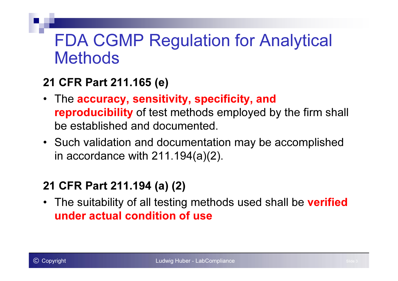### FDA CGMP Regulation for Analytical **Methods**

### 21 CFR Part 211.165 (e)

- The accuracy, sensitivity, specificity, and reproducibility of test methods employed by the firm shall be established and documented.
- Such validation and documentation may be accomplished in accordance with 211.194(a)(2).

### 21 CFR Part 211.194 (a) (2)

• The suitability of all testing methods used shall be **verified** under actual condition of use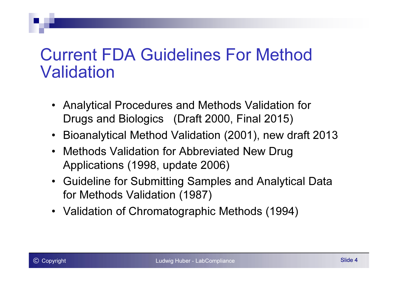### Current FDA Guidelines For Method Validation

- Analytical Procedures and Methods Validation for Drugs and Biologics (Draft 2000, Final 2015)
- Bioanalytical Method Validation (2001), new draft 2013
- Methods Validation for Abbreviated New Drug Applications (1998, update 2006)
- Guideline for Submitting Samples and Analytical Data for Methods Validation (1987)
- Validation of Chromatographic Methods (1994)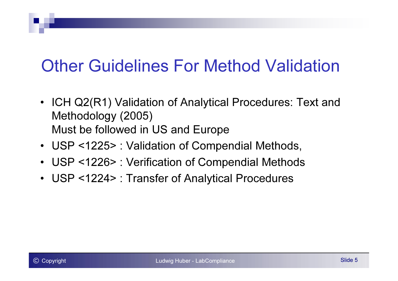# Other Guidelines For Method Validation

- ICH Q2(R1) Validation of Analytical Procedures: Text and Methodology (2005)Must be followed in US and Europe
- USP <1225> : Validation of Compendial Methods,
- USP <1226> : Verification of Compendial Methods
- USP <1224> : Transfer of Analytical Procedures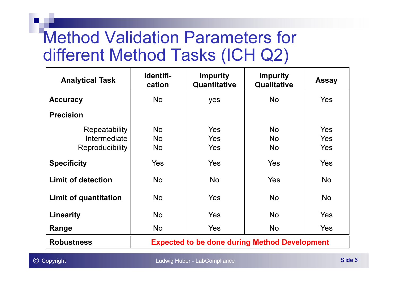### Method Validation Parameters for different Method Tasks (ICH Q2)

| <b>Analytical Task</b>    | Identifi-<br>cation                                  | <b>Impurity</b><br>Quantitative | <b>Impurity</b><br>Qualitative | <b>Assay</b> |
|---------------------------|------------------------------------------------------|---------------------------------|--------------------------------|--------------|
| <b>Accuracy</b>           | <b>No</b>                                            | yes                             | <b>No</b>                      | <b>Yes</b>   |
| <b>Precision</b>          |                                                      |                                 |                                |              |
| Repeatability             | <b>No</b>                                            | Yes                             | <b>No</b>                      | Yes          |
| Intermediate              | <b>No</b>                                            | <b>Yes</b>                      | <b>No</b>                      | Yes          |
| Reproducibility           | <b>No</b>                                            | <b>Yes</b>                      | <b>No</b>                      | <b>Yes</b>   |
| <b>Specificity</b>        | <b>Yes</b>                                           | <b>Yes</b>                      | <b>Yes</b>                     | <b>Yes</b>   |
| <b>Limit of detection</b> | <b>No</b>                                            | <b>No</b>                       | <b>Yes</b>                     | <b>No</b>    |
| Limit of quantitation     | <b>No</b>                                            | <b>Yes</b>                      | <b>No</b>                      | <b>No</b>    |
| Linearity                 | <b>No</b>                                            | <b>Yes</b>                      | <b>No</b>                      | <b>Yes</b>   |
| Range                     | No                                                   | <b>Yes</b>                      | <b>No</b>                      | <b>Yes</b>   |
| <b>Robustness</b>         | <b>Expected to be done during Method Development</b> |                                 |                                |              |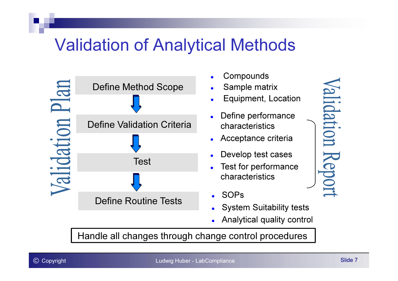### Validation of Analytical Methods



- 0 Compounds• Sample matrix 0 **Equipment, Location** 0  $\bullet$  Define performance characteristics $\bullet$  Acceptance criteria $\bullet$  Develop test cases $\bullet$  Test for performance characteristics
	- $\bullet$ SOPs
	- System Suitability tests
	- Analytical quality control

Handle all changes through change control procedures

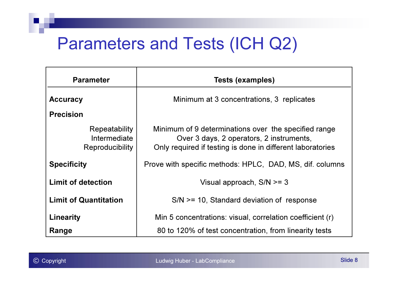### Parameters and Tests (ICH Q2)

| <b>Parameter</b>                                        | <b>Tests (examples)</b>                                                                                                                                        |  |  |
|---------------------------------------------------------|----------------------------------------------------------------------------------------------------------------------------------------------------------------|--|--|
| <b>Accuracy</b>                                         | Minimum at 3 concentrations, 3 replicates                                                                                                                      |  |  |
| <b>Precision</b>                                        |                                                                                                                                                                |  |  |
| Repeatability<br>Intermediate<br><b>Reproducibility</b> | Minimum of 9 determinations over the specified range<br>Over 3 days, 2 operators, 2 instruments,<br>Only required if testing is done in different laboratories |  |  |
| <b>Specificity</b>                                      | Prove with specific methods: HPLC, DAD, MS, dif. columns                                                                                                       |  |  |
| <b>Limit of detection</b>                               | Visual approach, $S/N \geq 3$                                                                                                                                  |  |  |
| <b>Limit of Quantitation</b>                            | $SNN \geq 10$ , Standard deviation of response                                                                                                                 |  |  |
| <b>Linearity</b>                                        | Min 5 concentrations: visual, correlation coefficient (r)                                                                                                      |  |  |
| Range                                                   | 80 to 120% of test concentration, from linearity tests                                                                                                         |  |  |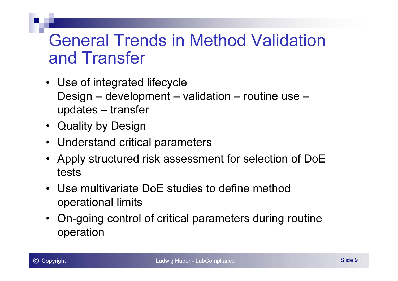### General Trends in Method Validation and Transfer

- Use of integrated lifecycle Design – development – validation – routine use –updates – transfer
- Quality by Design
- Understand critical parameters
- Apply structured risk assessment for selection of DoE tests
- Use multivariate DoE studies to define methodoperational limits
- On-going control of critical parameters during routineoperation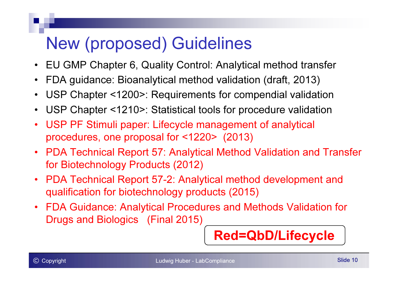# New (proposed) Guidelines

- $\bullet$ EU GMP Chapter 6, Quality Control: Analytical method transfer
- •FDA guidance: Bioanalytical method validation (draft, 2013)
- •USP Chapter <1200>: Requirements for compendial validation
- •USP Chapter <1210>: Statistical tools for procedure validation
- • USP PF Stimuli paper: Lifecycle management of analytical procedures, one proposal for <1220> (2013)
- $\bullet$  PDA Technical Report 57: Analytical Method Validation and Transfer for Biotechnology Products (2012)
- $\bullet$  PDA Technical Report 57-2: Analytical method development and qualification for biotechnology products (2015)
- $\bullet$  FDA Guidance: Analytical Procedures and Methods Validation for Drugs and Biologics (Final 2015)

Red=QbD/Lifecycle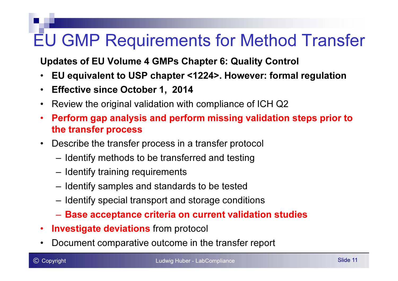# EU GMP Requirements for Method Transfer

Updates of EU Volume 4 GMPs Chapter 6: Quality Control

- •EU equivalent to USP chapter <1224>. However: formal regulation
- •Effective since October 1, 2014
- $\bullet$ Review the original validation with compliance of ICH Q2
- • Perform gap analysis and perform missing validation steps prior to the transfer process
- $\bullet$  Describe the transfer process in a transfer protocol
	- –Identify methods to be transferred and testing
	- –Identify training requirements
	- –Identify samples and standards to be tested
	- –Identify special transport and storage conditions
	- – $-$  Base acceptance criteria on current validation studies
- •• Investigate deviations from protocol
- •Document comparative outcome in the transfer report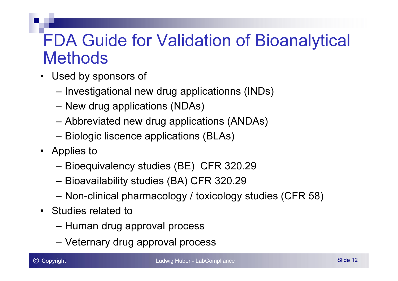### FDA Guide for Validation of Bioanalytical **Methods**

- Used by sponsors of
	- –Investigational new drug applicationns (INDs)
	- –New drug applications (NDAs)
	- –Abbreviated new drug applications (ANDAs)
	- –Biologic liscence applications (BLAs)
- Applies to
	- –Bioequivalency studies (BE) CFR 320.29
	- –Bioavailability studies (BA) CFR 320.29
	- –Non-clinical pharmacology / toxicology studies (CFR 58)
- Studies related to
	- –Human drug approval process
	- –Veternary drug approval process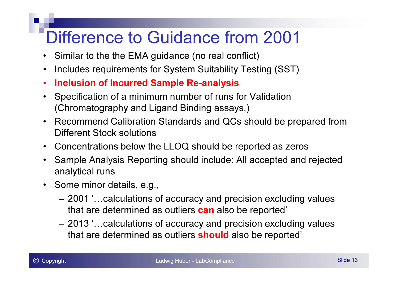# Difference to Guidance from 2001

- Similar to the the EMA guidance (no real conflict)
- •Includes requirements for System Suitability Testing (SST)
- •Inclusion of Incurred Sample Re-analysis
- • Specification of a minimum number of runs for Validation (Chromatography and Ligand Binding assays,)
- $\bullet$  Recommend Calibration Standards and QCs should be prepared from Different Stock solutions
- $\bullet$ Concentrations below the LLOQ should be reported as zeros
- • Sample Analysis Reporting should include: All accepted and rejected analytical runs
- Some minor details, e.g.,
	- –2001 '... calculations of accuracy and precision excluding values that are determined as outliers <mark>can</mark> also be reported'
	- –2013 '... calculations of accuracy and precision excluding values that are determined as outliers <mark>should</mark> also be reported'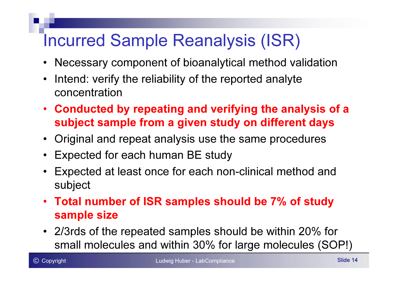# Incurred Sample Reanalysis (ISR)

- $\bullet$ Necessary component of bioanalytical method validation
- • Intend: verify the reliability of the reported analyteconcentration
- Conducted by repeating and verifying the analysis of <sup>a</sup> subject sample from a given study on different days
- Original and repeat analysis use the same procedures
- •Expected for each human BE study
- • Expected at least once for each non-clinical method andsubject
- Total number of ISR samples should be 7% of studysample size
- 2/3rds of the repeated samples should be within 20% forsmall molecules and within 30% for large molecules (SOP!)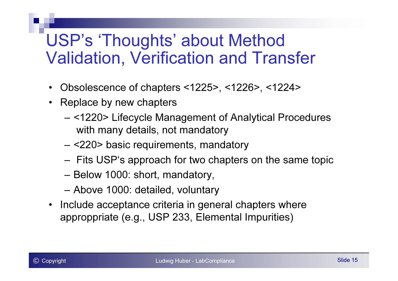### USP's 'Thoughts' about Method Validation, Verification and Transfer

- •Obsolescence of chapters <1225>, <1226>, <1224>
- Replace by new chapters
	- – <1220> Lifecycle Management of Analytical Procedureswith many details, not mandatory
	- –<220> basic requirements, mandatory
	- –Fits USP's approach for two chapters on the same topic
	- –Below 1000: short, mandatory,
	- –Above 1000: detailed, voluntary
- Include acceptance criteria in general chapters whereapproppriate (e.g., USP 233, Elemental Impurities)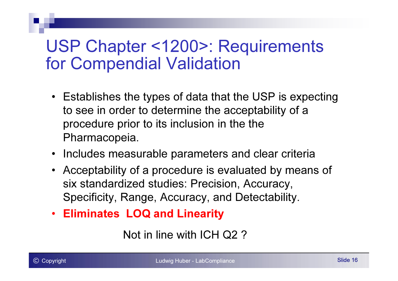### USP Chapter <1200>: Requirements for Compendial Validation

- Establishes the types of data that the USP is expecting to see in order to determine the acceptability of a procedure prior to its inclusion in the thePharmacopeia.
- Includes measurable parameters and clear criteria
- Acceptability of a procedure is evaluated by means of six standardized studies: Precision, Accuracy, Specificity, Range, Accuracy, and Detectability.
- Eliminates LOQ and Linearity

Not in line with ICH Q2 ?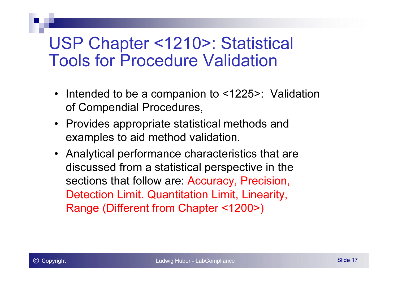### USP Chapter <1210>: Statistical Tools for Procedure Validation

- $\bullet$  Intended to be a companion to <1225>: Validation of Compendial Procedures,
- Provides appropriate statistical methods and examples to aid method validation.
- Analytical performance characteristics that are discussed from a statistical perspective in the sections that follow are: Accuracy, Precision, Detection Limit. Quantitation Limit, Linearity, Range (Different from Chapter <1200>)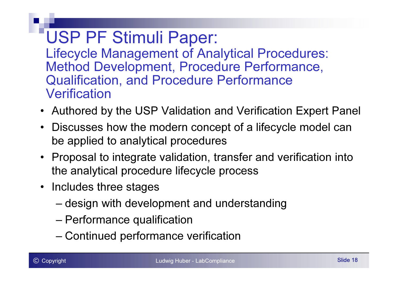USP PF Stimuli Paper: Lifecycle Management of Analytical Procedures:Method Development, Procedure Performance, Qualification, and Procedure Performance **Verification** 

- Authored by the USP Validation and Verification Expert Panel
- Discusses how the modern concept of a lifecycle model can be applied to analytical procedures
- Proposal to integrate validation, transfer and verification intothe analytical procedure lifecycle process
- Includes three stages
	- design with development and understanding
	- Performance qualification
	- Continued performance verification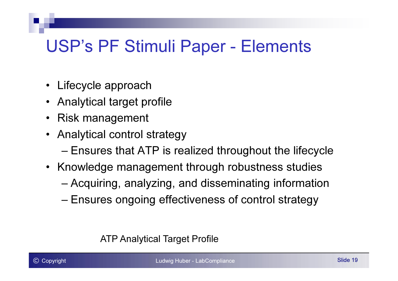### USP's PF Stimuli Paper - Elements

- •Lifecycle approach
- Analytical target profile
- Risk management
- Analytical control strategy
	- Ensures that ATP is realized throughout the lifecycle
- Knowledge management through robustness studies
	- –Acquiring, analyzing, and disseminating information
	- –Ensures ongoing effectiveness of control strategy

#### ATP Analytical Target Profile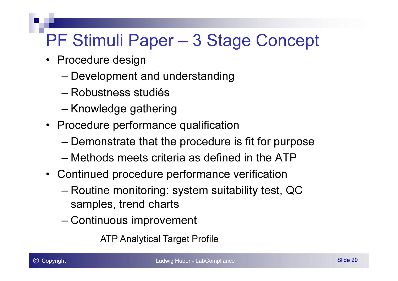# PF Stimuli Paper – 3 Stage Concept

- Procedure design
	- Development and understanding
	- Robustness studiés
	- Knowledge gathering
- Procedure performance qualification
	- Demonstrate that the procedure is fit for purpose
	- Methods meets criteria as defined in the ATP
- Continued procedure performance verification
	- –Routine monitoring: system suitability test, QC<br>semples, trend aborts samples, trend charts
	- Continuous improvement

ATP Analytical Target Profile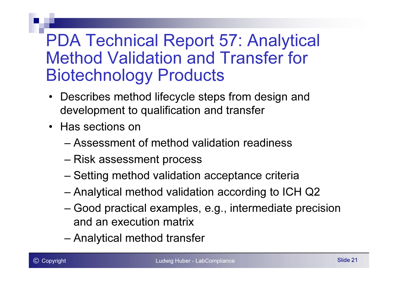### PDA Technical Report 57: Analytical Method Validation and Transfer for Biotechnology Products

- Describes method lifecycle steps from design and<br>development to qualification and transfer development to qualification and transfer
- Has sections on
	- Assessment of method validation readiness
	- –Risk assessment process
	- Setting method validation acceptance criteria
	- Analytical method validation according to ICH Q2
	- Good practical examples, e.g., intermediate precisionand an execution matrix
	- –Analytical method transfer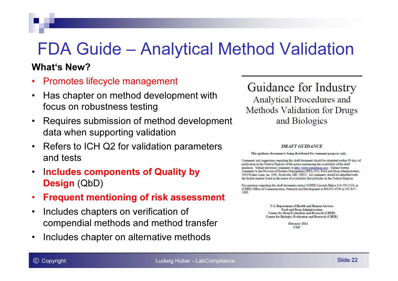## FDA Guide – Analytical Method Validation

#### What's New?

- •Promotes lifecycle management
- • Has chapter on method development with focus on robustness testing
- • Requires submission of method development data when supporting validation
- • Refers to ICH Q2 for validation parameters and tests
- $\bullet$  Includes components of Quality by  $\bm{\mathsf{Design}}\left(\textsf{QbD}\right)$
- •Frequent mentioning of risk assessment
- $\bullet$  Includes chapters on verification of compendial methods and method transfer
- •Includes chapter on alternative methods

Guidance for Industry **Analytical Procedures and** Methods Validation for Drugs and Biologics

#### **DRAFT GUIDANCE**

This guidance document is being distributed for comment purposes only.

Comments and suggestions regarding this draft document should be submitted within 90 days of publication in the Federal Register of the notice announcing the availability of the draft guidance. Submit electronic comments to http://www.regulations.gov. Submit written comments to the Division of Dockets Management (HFA-305), Food and Drug Administration, 5630 Fishers Lane, rm. 1061, Rockville, MD 20852. All comments should be identified with the docket number listed in the notice of availability that publishes in the Federal Register.

For questions regarding this draft document contact (CDER) Lucinda Buhse 314-539-2134, or (CBER) Office of Communication, Outreach and Development at 800-835-4709 or 301-827-1800

> U.S. Department of Health and Human Services Food and Drug Administration Center for Drug Evaluation and Research (CDER) Center for Biologics Evaluation and Research (CBER)

> > February 2014 **CMC**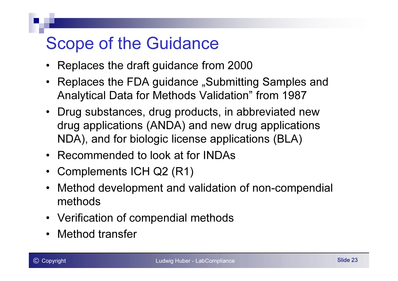# Scope of the Guidance

- Replaces the draft guidance from 2000
- Replaces the FDA guidance "Submitting Samples and Analytical Data for Methods Validation" from 1987
- Drug substances, drug products, in abbreviated newdrug applications (ANDA) and new drug applications<br>NPA\ and fackielasis lissues applications (DLA\ NDA), and for biologic license applications (BLA)
- Recommended to look at for INDAs
- Complements ICH Q2 (R1)
- Method development and validation of non-compendial methods
- Verification of compendial methods
- Method transfer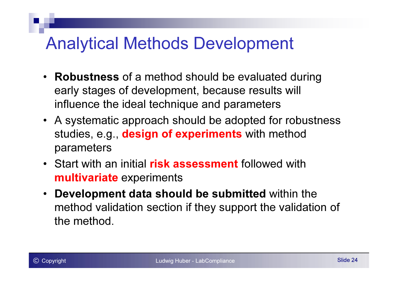### Analytical Methods Development

- Robustness of a method should be evaluated during early stages of development, because results will influence the ideal technique and parameters
- A systematic approach should be adopted for robustness studies, e.g., design of experiments with method parameters
- Start with an initial risk assessment followed with **multivariate** experiments
- $\bullet$  Development data should be submitted within the method validation section if they support the validation of the method.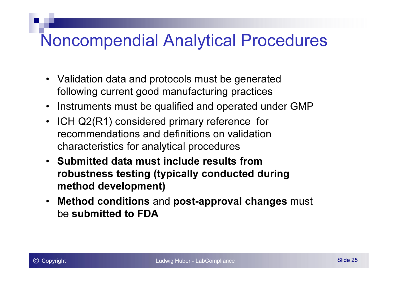### Noncompendial Analytical Procedures

- Validation data and protocols must be generated following current good manufacturing practices
- Instruments must be qualified and operated under GMP
- ICH Q2(R1) considered primary reference for recommendations and definitions on validation characteristics for analytical procedures
- Submitted data must include results from robustness testing (typically conducted during method development)
- • Method conditions and post-approval changes must be submitted to FDA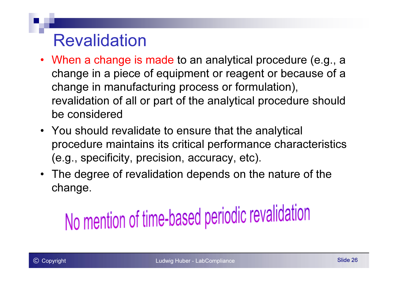### Revalidation

- When a change is made to an analytical procedure (e.g., a change in a piece of equipment or reagent or because of a change in manufacturing process or formulation), revalidation of all or part of the analytical procedure should be considered
- You should revalidate to ensure that the analytical procedure maintains its critical performance characteristics (e.g., specificity, precision, accuracy, etc).
- The degree of revalidation depends on the nature of the change.

# No mention of time-based periodic revalidation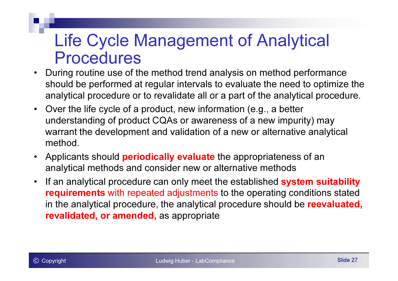### Life Cycle Management of Analytical Procedures

- During routine use of the method trend analysis on method performance •should be performed at regular intervals to evaluate the need to optimize the analytical procedure or to revalidate all or a part of the analytical procedure.
- • Over the life cycle of a product, new information (e.g., a better understanding of product CQAs or awareness of a new impurity) may warrant the development and validation of a new or alternative analytical method.
- •Applicants should **periodically evaluate** the appropriateness of an analytical methods and consider new or alternative methods
- •If an analytical procedure can only meet the established system suitability requirements with repeated adjustments to the operating conditions stated in the analytical procedure, the analytical procedure should be reevaluated, **revalidated, or amended,** as appropriate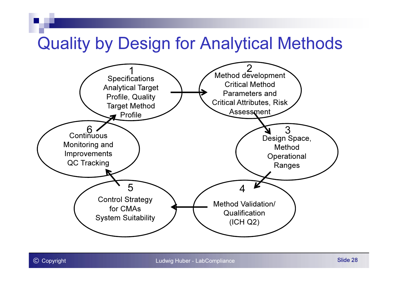### Quality by Design for Analytical Methods

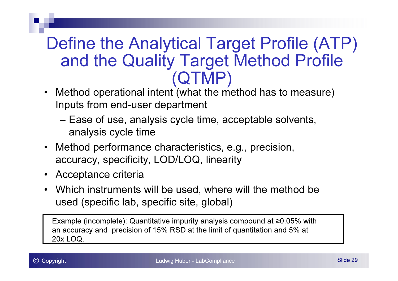### Define the Analytical Target Profile (ATP) and the Quality Target Method Profile (QTMP)

- Method operational intent (what the method has to measure)•Inputs from end-user department
	- – Ease of use, analysis cycle time, acceptable solvents, analysis cycle time
- $\bullet$  Method performance characteristics, e.g., precision, accuracy, specificity, LOD/LOQ, linearity
- $\bullet$ Acceptance criteria
- Which instruments will be used, where will the method be used (specific lab, specific site, global)

Example (incomplete): Quantitative impurity analysis compound at ≥0.05% with an accuracy and precision of 15% RSD at the limit of quantitation and 5% at 20x LOQ.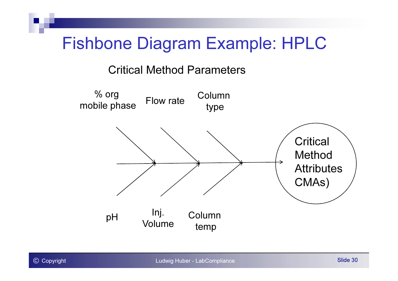### Fishbone Diagram Example: HPLC

#### Critical Method Parameters

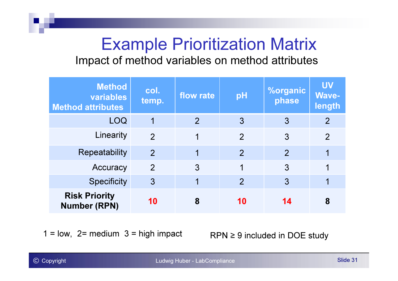### Example Prioritization MatrixImpact of method variables on method attributes

| <b>Method</b><br>variables<br><b>Method attributes</b> | col.<br>temp.  | flow rate | pH             | <b>%organic</b><br>phase | <b>UV</b><br><b>Wave-</b><br>length |
|--------------------------------------------------------|----------------|-----------|----------------|--------------------------|-------------------------------------|
| <b>LOQ</b>                                             | 1              | 2         | 3              | 3                        | 2                                   |
| Linearity                                              | $\overline{2}$ |           | $\overline{2}$ | 3                        | $\overline{2}$                      |
| Repeatability                                          | $\overline{2}$ | 1         | $\overline{2}$ | $\overline{2}$           | 1                                   |
| Accuracy                                               | $\overline{2}$ | 3         | 1              | 3                        | 1                                   |
| <b>Specificity</b>                                     | $\mathfrak{Z}$ |           | $\overline{2}$ | 3                        | 1                                   |
| <b>Risk Priority</b><br><b>Number (RPN)</b>            | 10             | 8         | 10             | 14                       | 8                                   |

 $1 = low$ ,  $2 = medium$   $3 = high$  impact

 $RPN \geq 9$  included in DOE study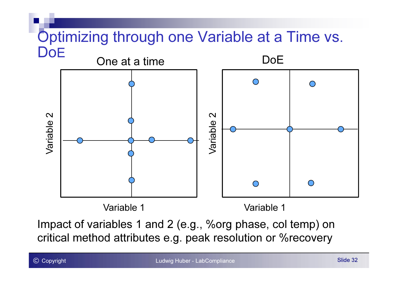### Optimizing through one Variable at a Time vs. **DoE**



Impact of variables 1 and 2 (e.g., %org phase, col temp) on critical method attributes e.g. peak resolution or %recovery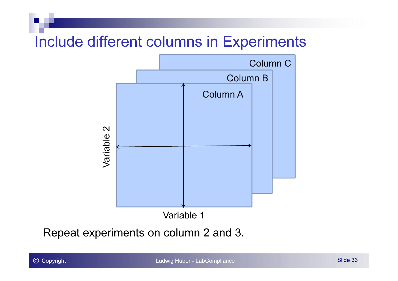### Include different columns in Experiments



Repeat experiments on column 2 and 3.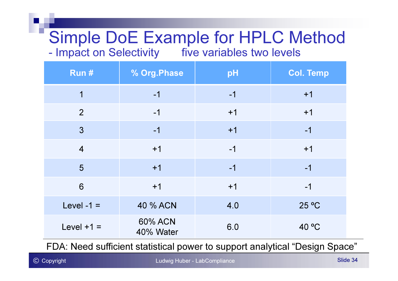# Simple DoE Example for HPLC Method

Impact on Selectivity five variables two levels

| Run#           | % Org. Phase                | pH   | <b>Col. Temp</b> |
|----------------|-----------------------------|------|------------------|
| $\overline{1}$ | $-1$                        | $-1$ | $+1$             |
| $\overline{2}$ | $-1$                        | $+1$ | $+1$             |
| $\overline{3}$ | $-1$                        | $+1$ | $-1$             |
| $\overline{4}$ | $+1$                        | $-1$ | $+1$             |
| 5              | $+1$                        | $-1$ | $-1$             |
| 6              | $+1$                        | $+1$ | $-1$             |
| Level -1 $=$   | 40 % ACN                    | 4.0  | 25 °C            |
| Level $+1 =$   | <b>60% ACN</b><br>40% Water | 6.0  | 40 °C            |

FDA: Need sufficient statistical power to support analytical "Design Space"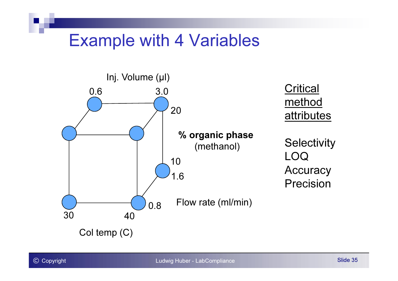### Example with 4 Variables

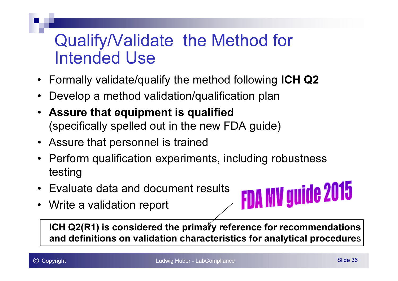### Qualify/Validate the Method for Intended Use

- Formally validate/qualify the method following ICH Q2
- •Develop a method validation/qualification plan
- Assure that equipment is qualified(specifically spelled out in the new FDA guide)
- Assure that personnel is trained
- Perform qualification experiments, including robustness testing
- Evaluate data and document results
- Write a validation report



ICH Q2(R1) is considered the primary reference for recommendations and definitions on validation characteristics for analytical procedures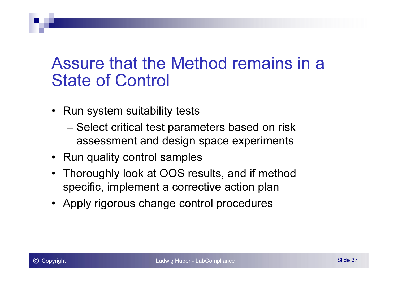### Assure that the Method remains in a State of Control

- Run system suitability tests
	- Select critical test parameters based on risk assessment and design space experiments
- Run quality control samples
- Thoroughly look at OOS results, and if method specific, implement a corrective action plan
- Apply rigorous change control procedures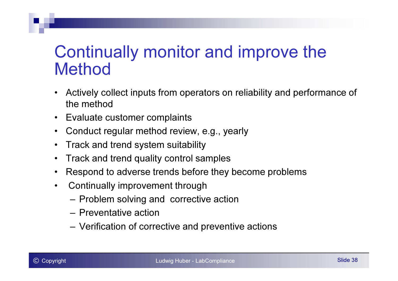### Continually monitor and improve the Method

- • Actively collect inputs from operators on reliability and performance of the method
- $\bullet$ Evaluate customer complaints
- •Conduct regular method review, e.g., yearly
- •Track and trend system suitability
- •Track and trend quality control samples
- •Respond to adverse trends before they become problems
- $\bullet$  Continually improvement through
	- –Problem solving and corrective action
	- Preventative action
	- –Verification of corrective and preventive actions